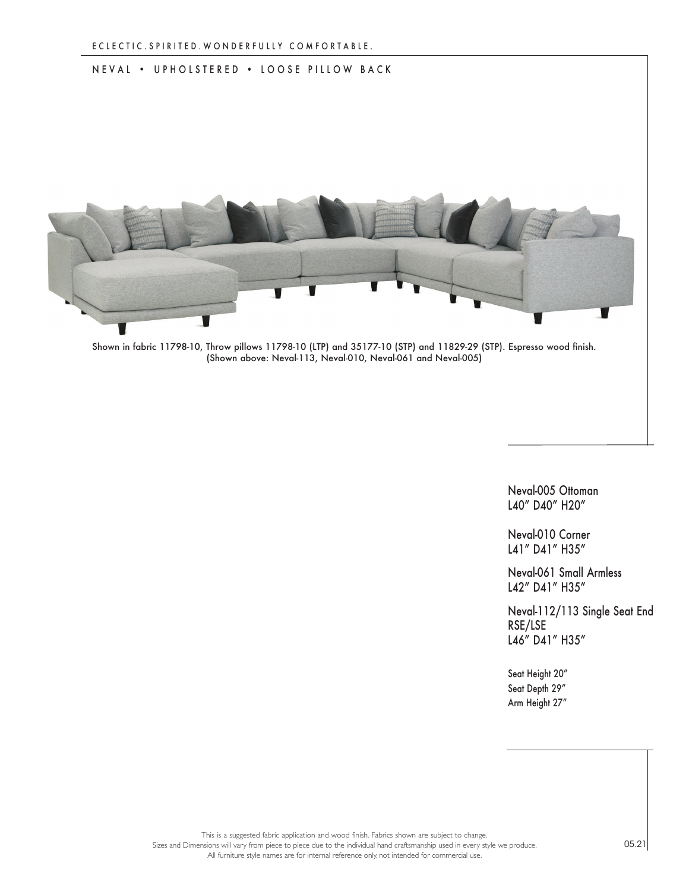## NEVAL • UPHOLSTERED • LOOSE PILLOW BACK



Shown in fabric 11798-10, Throw pillows 11798-10 (LTP) and 35177-10 (STP) and 11829-29 (STP). Espresso wood finish. (Shown above: Neval-113, Neval-010, Neval-061 and Neval-005)

Neval-005 Ottoman L40" D40" H20"

Neval-010 Corner L41" D41" H35"

Neval-061 Small Armless L42" D41" H35"

Neval-112/113 Single Seat End RSE/LSE L46" D41" H35"

Seat Height 20" Seat Depth 29" Arm Height 27"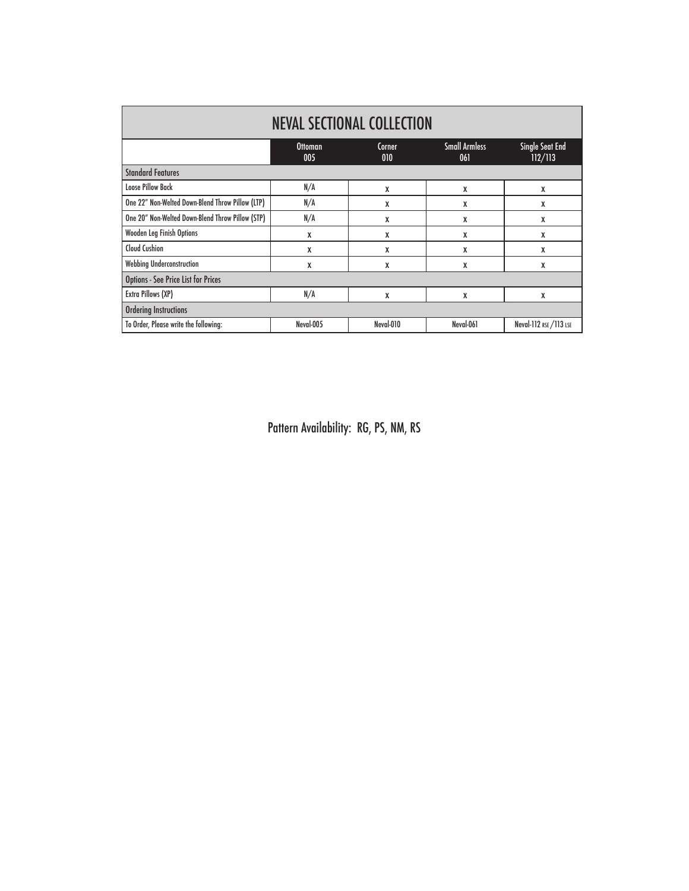| <b>NEVAL SECTIONAL COLLECTION</b>                |                       |                      |                             |                                   |
|--------------------------------------------------|-----------------------|----------------------|-----------------------------|-----------------------------------|
|                                                  | <b>Ottoman</b><br>005 | <b>Corner</b><br>010 | <b>Small Armless</b><br>061 | <b>Single Seat End</b><br>112/113 |
| <b>Standard Features</b>                         |                       |                      |                             |                                   |
| <b>Loose Pillow Back</b>                         | N/A                   | X                    | X                           | X                                 |
| One 22" Non-Welted Down-Blend Throw Pillow (LTP) | N/A                   | X                    | X                           | χ                                 |
| One 20" Non-Welted Down-Blend Throw Pillow (STP) | N/A                   | X                    | X                           | χ                                 |
| Wooden Leg Finish Options                        | X                     | X                    | X                           | χ                                 |
| <b>Cloud Cushion</b>                             | X                     | X                    | X                           | X                                 |
| Webbing Underconstruction                        | X                     | X                    | X                           | X                                 |
| <b>Options - See Price List for Prices</b>       |                       |                      |                             |                                   |
| Extra Pillows (XP)                               | N/A                   | X                    | X                           | X                                 |
| <b>Ordering Instructions</b>                     |                       |                      |                             |                                   |
| To Order, Please write the following:            | Neval-005             | Neval-010            | Neval-061                   | Neval-112 RSE / 113 LSE           |

Pattern Availability: RG, PS, NM, RS